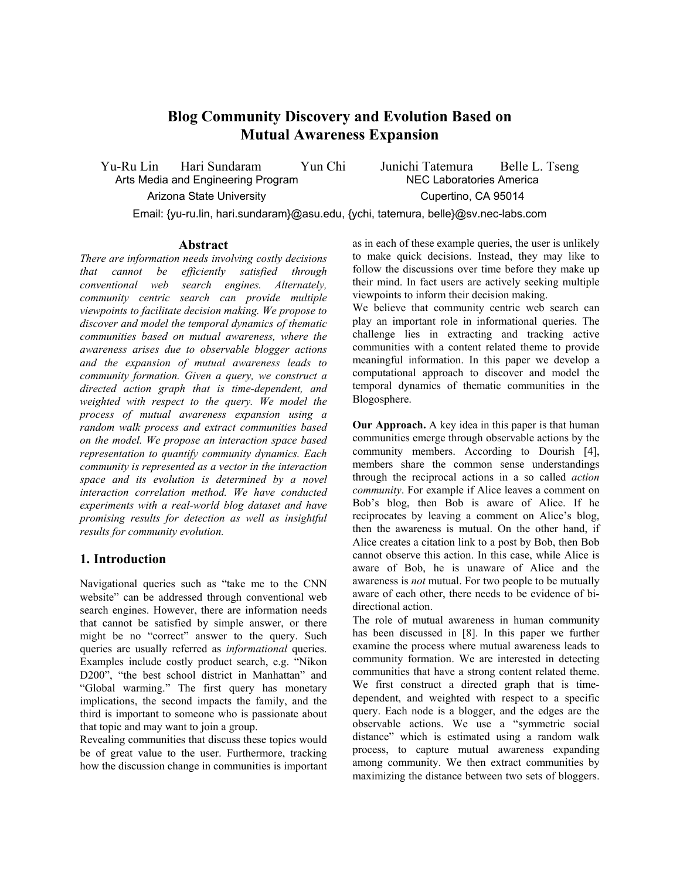# **Blog Community Discovery and Evolution Based on Mutual Awareness Expansion**

Yu-Ru Lin Hari Sundaram Yun Chi Junichi Tatemura Belle L. Tseng Arts Media and Engineering Program

NEC Laboratories America Cupertino, CA 95014

Email: {yu-ru.lin, hari.sundaram}@asu.edu, {ychi, tatemura, belle}@sv.nec-labs.com

# **Abstract**

Arizona State University

*There are information needs involving costly decisions that cannot be efficiently satisfied through conventional web search engines. Alternately, community centric search can provide multiple viewpoints to facilitate decision making. We propose to discover and model the temporal dynamics of thematic communities based on mutual awareness, where the awareness arises due to observable blogger actions and the expansion of mutual awareness leads to community formation. Given a query, we construct a directed action graph that is time-dependent, and weighted with respect to the query. We model the process of mutual awareness expansion using a random walk process and extract communities based on the model. We propose an interaction space based representation to quantify community dynamics. Each community is represented as a vector in the interaction space and its evolution is determined by a novel interaction correlation method. We have conducted experiments with a real-world blog dataset and have promising results for detection as well as insightful results for community evolution.*

# **1. Introduction**

Navigational queries such as "take me to the CNN website" can be addressed through conventional web search engines. However, there are information needs that cannot be satisfied by simple answer, or there might be no "correct" answer to the query. Such queries are usually referred as *informational* queries. Examples include costly product search, e.g. "Nikon D200", "the best school district in Manhattan" and "Global warming." The first query has monetary implications, the second impacts the family, and the third is important to someone who is passionate about that topic and may want to join a group.

Revealing communities that discuss these topics would be of great value to the user. Furthermore, tracking how the discussion change in communities is important as in each of these example queries, the user is unlikely to make quick decisions. Instead, they may like to follow the discussions over time before they make up their mind. In fact users are actively seeking multiple viewpoints to inform their decision making.

We believe that community centric web search can play an important role in informational queries. The challenge lies in extracting and tracking active communities with a content related theme to provide meaningful information. In this paper we develop a computational approach to discover and model the temporal dynamics of thematic communities in the Blogosphere.

**Our Approach.** A key idea in this paper is that human communities emerge through observable actions by the community members. According to Dourish [4], members share the common sense understandings through the reciprocal actions in a so called *action community*. For example if Alice leaves a comment on Bob's blog, then Bob is aware of Alice. If he reciprocates by leaving a comment on Alice's blog, then the awareness is mutual. On the other hand, if Alice creates a citation link to a post by Bob, then Bob cannot observe this action. In this case, while Alice is aware of Bob, he is unaware of Alice and the awareness is *not* mutual. For two people to be mutually aware of each other, there needs to be evidence of bidirectional action.

The role of mutual awareness in human community has been discussed in [8]. In this paper we further examine the process where mutual awareness leads to community formation. We are interested in detecting communities that have a strong content related theme. We first construct a directed graph that is timedependent, and weighted with respect to a specific query. Each node is a blogger, and the edges are the observable actions. We use a "symmetric social distance" which is estimated using a random walk process, to capture mutual awareness expanding among community. We then extract communities by maximizing the distance between two sets of bloggers.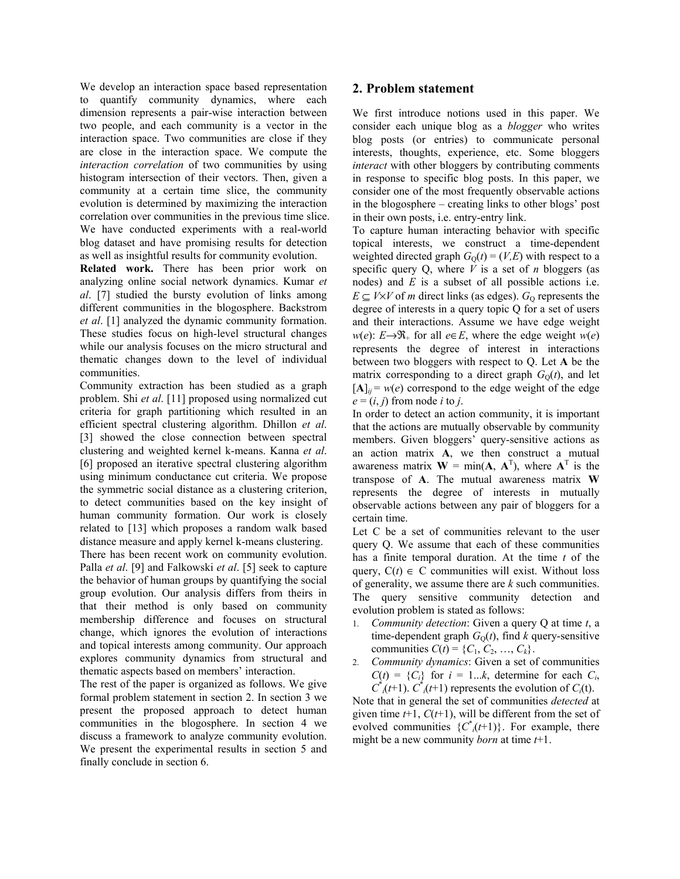We develop an interaction space based representation to quantify community dynamics, where each dimension represents a pair-wise interaction between two people, and each community is a vector in the interaction space. Two communities are close if they are close in the interaction space. We compute the *interaction correlation* of two communities by using histogram intersection of their vectors. Then, given a community at a certain time slice, the community evolution is determined by maximizing the interaction correlation over communities in the previous time slice. We have conducted experiments with a real-world blog dataset and have promising results for detection as well as insightful results for community evolution.

**Related work.** There has been prior work on analyzing online social network dynamics. Kumar *et al*. [7] studied the bursty evolution of links among different communities in the blogosphere. Backstrom *et al*. [1] analyzed the dynamic community formation. These studies focus on high-level structural changes while our analysis focuses on the micro structural and thematic changes down to the level of individual communities.

Community extraction has been studied as a graph problem. Shi *et al*. [11] proposed using normalized cut criteria for graph partitioning which resulted in an efficient spectral clustering algorithm. Dhillon *et al*. [3] showed the close connection between spectral clustering and weighted kernel k-means. Kanna *et al*. [6] proposed an iterative spectral clustering algorithm using minimum conductance cut criteria. We propose the symmetric social distance as a clustering criterion, to detect communities based on the key insight of human community formation. Our work is closely related to [13] which proposes a random walk based distance measure and apply kernel k-means clustering.

There has been recent work on community evolution. Palla *et al*. [9] and Falkowski *et al*. [5] seek to capture the behavior of human groups by quantifying the social group evolution. Our analysis differs from theirs in that their method is only based on community membership difference and focuses on structural change, which ignores the evolution of interactions and topical interests among community. Our approach explores community dynamics from structural and thematic aspects based on members' interaction.

The rest of the paper is organized as follows. We give formal problem statement in section 2. In section 3 we present the proposed approach to detect human communities in the blogosphere. In section 4 we discuss a framework to analyze community evolution. We present the experimental results in section 5 and finally conclude in section 6.

# **2. Problem statement**

We first introduce notions used in this paper. We consider each unique blog as a *blogger* who writes blog posts (or entries) to communicate personal interests, thoughts, experience, etc. Some bloggers *interact* with other bloggers by contributing comments in response to specific blog posts. In this paper, we consider one of the most frequently observable actions in the blogosphere – creating links to other blogs' post in their own posts, i.e. entry-entry link.

To capture human interacting behavior with specific topical interests, we construct a time-dependent weighted directed graph  $G_0(t) = (V,E)$  with respect to a specific query Q, where *V* is a set of *n* bloggers (as nodes) and *E* is a subset of all possible actions i.e.  $E \subseteq V \times V$  of *m* direct links (as edges).  $G_0$  represents the degree of interests in a query topic Q for a set of users and their interactions. Assume we have edge weight *w*(*e*): *E*→ $\Re$ <sub>+</sub> for all *e*∈*E*, where the edge weight *w*(*e*) represents the degree of interest in interactions between two bloggers with respect to Q. Let **A** be the matrix corresponding to a direct graph  $G<sub>O</sub>(t)$ , and let  $[A]_{ii} = w(e)$  correspond to the edge weight of the edge  $e = (i, j)$  from node *i* to *j*.

In order to detect an action community, it is important that the actions are mutually observable by community members. Given bloggers' query-sensitive actions as an action matrix **A**, we then construct a mutual awareness matrix  $W = min(A, A^T)$ , where  $A^T$  is the transpose of **A**. The mutual awareness matrix **W** represents the degree of interests in mutually observable actions between any pair of bloggers for a certain time.

Let C be a set of communities relevant to the user query Q. We assume that each of these communities has a finite temporal duration. At the time *t* of the query,  $C(t) \in C$  communities will exist. Without loss of generality, we assume there are *k* such communities. The query sensitive community detection and evolution problem is stated as follows:

- 1. *Community detection*: Given a query Q at time *t*, a time-dependent graph  $G<sub>O</sub>(t)$ , find *k* query-sensitive communities  $C(t) = \{C_1, C_2, ..., C_k\}.$
- 2. *Community dynamics*: Given a set of communities  $C(t) = \{C_i\}$  for  $i = 1...k$ , determine for each  $C_i$ ,  $C^*$ <sub>*i*</sub>(*t*+1).  $C^*$ <sub>*i*</sub>(*t*+1) represents the evolution of *C<sub>i</sub>*(*t*).

Note that in general the set of communities *detected* at given time  $t+1$ ,  $C(t+1)$ , will be different from the set of evolved communities  $\{C^*(t+1)\}$ . For example, there might be a new community *born* at time *t*+1.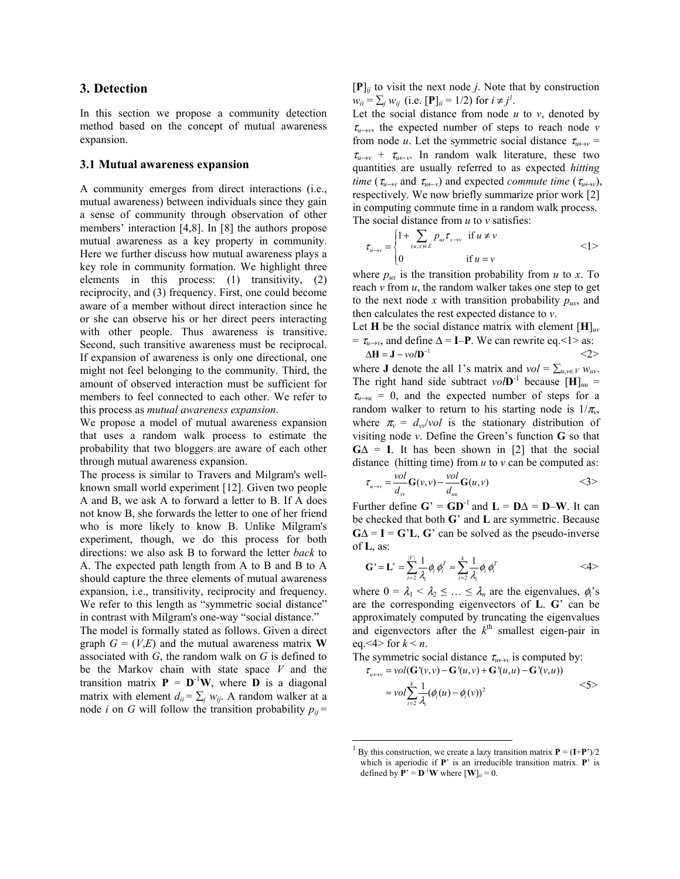# **3. Detection**

In this section we propose a community detection method based on the concept of mutual awareness expansion.

### **3.1 Mutual awareness expansion**

A community emerges from direct interactions (i.e., mutual awareness) between individuals since they gain a sense of community through observation of other members' interaction [4,8]. In [8] the authors propose mutual awareness as a key property in community. Here we further discuss how mutual awareness plays a key role in community formation. We highlight three elements in this process: (1) transitivity, (2) reciprocity, and (3) frequency. First, one could become aware of a member without direct interaction since he or she can observe his or her direct peers interacting with other people. Thus awareness is transitive. Second, such transitive awareness must be reciprocal. If expansion of awareness is only one directional, one might not feel belonging to the community. Third, the amount of observed interaction must be sufficient for members to feel connected to each other. We refer to this process as *mutual awareness expansion*.

We propose a model of mutual awareness expansion that uses a random walk process to estimate the probability that two bloggers are aware of each other through mutual awareness expansion.

The process is similar to Travers and Milgram's wellknown small world experiment [12]. Given two people A and B, we ask A to forward a letter to B. If A does not know B, she forwards the letter to one of her friend who is more likely to know B. Unlike Milgram's experiment, though, we do this process for both directions: we also ask B to forward the letter *back* to A. The expected path length from A to B and B to A should capture the three elements of mutual awareness expansion, i.e., transitivity, reciprocity and frequency. We refer to this length as "symmetric social distance" in contrast with Milgram's one-way "social distance."

The model is formally stated as follows. Given a direct graph  $G = (V,E)$  and the mutual awareness matrix **W** associated with *G*, the random walk on *G* is defined to be the Markov chain with state space *V* and the transition matrix  $P = D^{-1}W$ , where **D** is a diagonal matrix with element  $d_{ii} = \sum_j w_{ij}$ . A random walker at a node *i* on *G* will follow the transition probability  $p_{ij}$  =

 $[\mathbf{P}]_{ii}$  to visit the next node *j*. Note that by construction  $w_{ii} = \sum_j w_{ij}$  (i.e.  $[\mathbf{P}]_{ii} = 1/2$ ) for  $i \neq j^l$ .

Let the social distance from node  $u$  to  $v$ , denoted by  $\tau_{u\rightarrow v}$ , the expected number of steps to reach node *v* from node *u*. Let the symmetric social distance  $\tau_{u \leftrightarrow v}$  =  $\tau_{u\rightarrow v}$  +  $\tau_{u\leftarrow v}$ . In random walk literature, these two quantities are usually referred to as expected *hitting time* ( $\tau_{u\rightarrow v}$  and  $\tau_{u\leftarrow v}$ ) and expected *commute time* ( $\tau_{u\leftrightarrow v}$ ), respectively. We now briefly summarize prior work [2] in computing commute time in a random walk process. The social distance from *u* to *v* satisfies:

$$
\tau_{u\to v} = \begin{cases} 1 + \sum_{(u,x)\in E} p_{ux} \tau_{x\to v} & \text{if } u \neq v \\ 0 & \text{if } u = v \end{cases} < 1 >
$$

where  $p_{ux}$  is the transition probability from  $u$  to  $x$ . To reach *v* from *u*, the random walker takes one step to get to the next node x with transition probability  $p_{ux}$ , and then calculates the rest expected distance to *v*.

Let **H** be the social distance matrix with element  $[H]_{uv}$  $= \tau_{u\rightarrow v}$ , and define  $\Delta = I-P$ . We can rewrite eq. <1> as:<br> $\Delta H = J - \nu o/D^{-1}$  <2>

where **J** denote the all 1's matrix and  $vol = \sum_{u,v \in V} w_{uv}$ . The right hand side subtract  $vol\mathbf{D}^{-1}$  because  $[\mathbf{H}]_{uu}$  =  $\tau_{u\rightarrow u} = 0$ , and the expected number of steps for a random walker to return to his starting node is  $1/\pi$ <sub>*v*</sub>, where  $\pi_v = d_{vv}/vol$  is the stationary distribution of visiting node *v*. Define the Green's function **G** so that  $G\Delta = I$ . It has been shown in [2] that the social distance (hitting time) from *u* to *v* can be computed as:

$$
\tau_{u\to v} = \frac{vol}{d_{vv}} \mathbf{G}(v, v) - \frac{vol}{d_{uu}} \mathbf{G}(u, v) \tag{3}
$$

Further define  $G' = GD^{-1}$  and  $L = D\Delta = D-W$ . It can be checked that both **G**' and **L** are symmetric. Because  $G\Delta = I = G'L$ , G' can be solved as the pseudo-inverse of **L**, as:

$$
\mathbf{G}^{\mathsf{T}} = \mathbf{L}^{\dagger} = \sum_{i=2}^{|V|} \frac{1}{\lambda_i} \phi_i \phi_i^T \approx \sum_{i=2}^k \frac{1}{\lambda_i} \phi_i \phi_i^T
$$
  $\langle 4 \rangle$ 

where  $0 = \lambda_1 < \lambda_2 \leq \ldots \leq \lambda_n$  are the eigenvalues,  $\phi_i$ 's are the corresponding eigenvectors of **L**. **G**' can be approximately computed by truncating the eigenvalues and eigenvectors after the  $k<sup>th</sup>$  smallest eigen-pair in eq. <4> for  $k < n$ .

The symmetric social distance  $\tau_{u \leftrightarrow v}$  is computed by:

$$
\tau_{u \leftrightarrow v} = vol(\mathbf{G}'(v, v) - \mathbf{G}'(u, v) + \mathbf{G}'(u, u) - \mathbf{G}'(v, u))
$$
  
\n
$$
\approx vol \sum_{i=2}^{k} \frac{1}{\lambda_i} (\phi_i(u) - \phi_i(v))^2
$$
\n
$$
\ll 5 >
$$

-

<sup>&</sup>lt;sup>1</sup> By this construction, we create a lazy transition matrix  $P = (I+P^2)/2$ which is aperiodic if **P**' is an irreducible transition matrix. **P**' is defined by  $\mathbf{P}' = \mathbf{D}^{-1}\mathbf{W}$  where  $[\mathbf{W}]_{ii} = 0$ .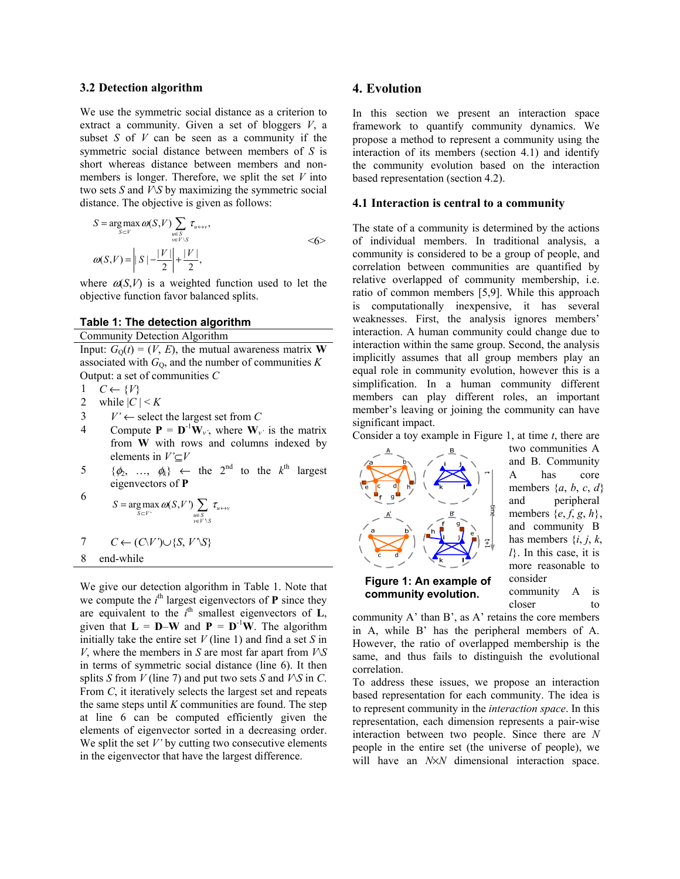#### **3.2 Detection algorithm**

We use the symmetric social distance as a criterion to extract a community. Given a set of bloggers *V*, a subset *S* of *V* can be seen as a community if the symmetric social distance between members of *S* is short whereas distance between members and nonmembers is longer. Therefore, we split the set *V* into two sets *S* and *V*\*S* by maximizing the symmetric social distance. The objective is given as follows:

$$
S = \underset{S \subset V}{\arg \max} \omega(S, V) \sum_{\substack{u \in S \\ v \in V \setminus S}} \tau_{u \leftrightarrow v},
$$
  

$$
\omega(S, V) = \left| |S| - \frac{|V|}{2} \right| + \frac{|V|}{2},
$$

where  $\alpha(S,V)$  is a weighted function used to let the objective function favor balanced splits.

#### **Table 1: The detection algorithm**

Community Detection Algorithm

Input:  $G_0(t) = (V, E)$ , the mutual awareness matrix **W** associated with  $G<sub>0</sub>$ , and the number of communities  $K$ Output: a set of communities *C*

- 1  $C$  ←  ${W}$
- 2 while  $|C| \le K$
- $3 \quad V' \leftarrow$  select the largest set from C
- 4 Compute  $P = D^{-1}W_v$ , where  $W_v$  is the matrix from **W** with rows and columns indexed by elements in *V'*⊆*V*
- 5 { $\phi_2$ , ...,  $\phi_k$ }  $\leftarrow$  the 2<sup>nd</sup> to the  $k^{\text{th}}$  largest eigenvectors of **P**
- 6  $S = \argmax_{S \subset V'} \omega(S, V') \sum_{\substack{u \in S \\ v \in V' \setminus S}} \tau_{u \leftrightarrow v}$  $= \arg \max_{\omega \in S} \omega(S, V') \sum$

7 
$$
C \leftarrow (C \vee C') \cup \{S, V \setminus S\}
$$
  
8 end-white

We give our detection algorithm in Table 1. Note that we compute the  $i^{\text{th}}$  largest eigenvectors of **P** since they are equivalent to the  $i^{\text{th}}$  smallest eigenvectors of  $\mathbf{L}$ , given that  $L = D-W$  and  $P = D^{-1}W$ . The algorithm initially take the entire set *V* (line 1) and find a set *S* in  $V$ , where the members in  $S$  are most far apart from  $V\mathcal{S}$ in terms of symmetric social distance (line 6). It then splits *S* from *V* (line 7) and put two sets *S* and *V* $\angle$ S in *C*. From *C*, it iteratively selects the largest set and repeats the same steps until *K* communities are found. The step at line 6 can be computed efficiently given the elements of eigenvector sorted in a decreasing order. We split the set *V'* by cutting two consecutive elements in the eigenvector that have the largest difference.

# **4. Evolution**

In this section we present an interaction space framework to quantify community dynamics. We propose a method to represent a community using the interaction of its members (section 4.1) and identify the community evolution based on the interaction based representation (section 4.2).

#### **4.1 Interaction is central to a community**

The state of a community is determined by the actions of individual members. In traditional analysis, a community is considered to be a group of people, and correlation between communities are quantified by relative overlapped of community membership, i.e. ratio of common members [5,9]. While this approach is computationally inexpensive, it has several weaknesses. First, the analysis ignores members' interaction. A human community could change due to interaction within the same group. Second, the analysis implicitly assumes that all group members play an equal role in community evolution, however this is a simplification. In a human community different members can play different roles, an important member's leaving or joining the community can have significant impact.

Consider a toy example in Figure 1, at time *t*, there are



**community evolution.** 

two communities A and B. Community A has core members {*a*, *b*, *c*, *d*} and peripheral members  $\{e, f, g, h\}$ , and community B has members {*i*, *j*, *k*, *l*}. In this case, it is more reasonable to consider

community A is closer to

community A' than B', as A' retains the core members in A, while B' has the peripheral members of A. However, the ratio of overlapped membership is the same, and thus fails to distinguish the evolutional correlation.

To address these issues, we propose an interaction based representation for each community. The idea is to represent community in the *interaction space*. In this representation, each dimension represents a pair-wise interaction between two people. Since there are *N* people in the entire set (the universe of people), we will have an *N*×*N* dimensional interaction space.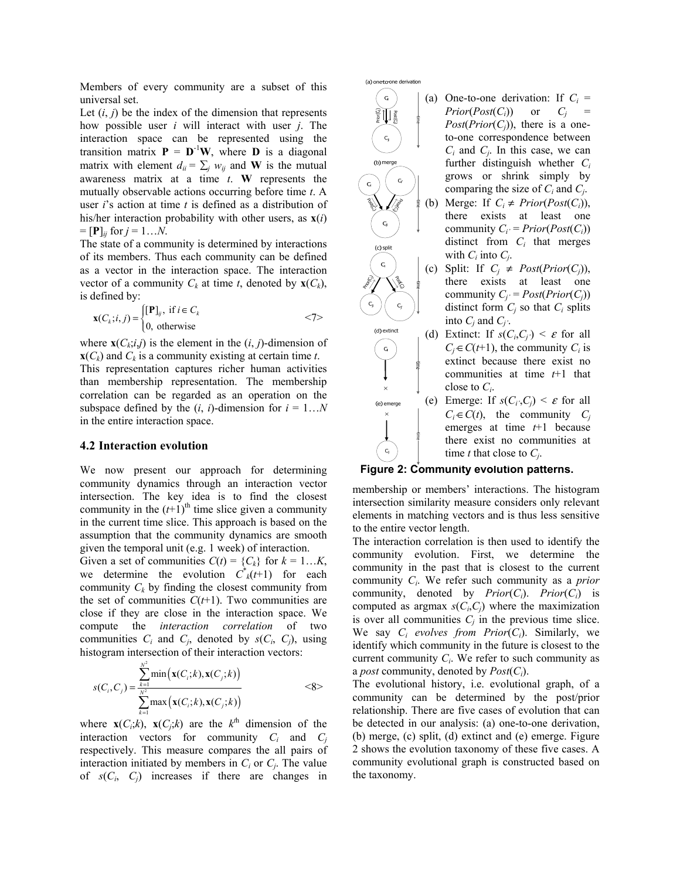Members of every community are a subset of this universal set.

Let  $(i, j)$  be the index of the dimension that represents how possible user *i* will interact with user *j*. The interaction space can be represented using the transition matrix  $P = D^{-1}W$ , where **D** is a diagonal matrix with element  $d_{ii} = \sum_i w_{ii}$  and **W** is the mutual awareness matrix at a time *t*. **W** represents the mutually observable actions occurring before time *t*. A user *i*'s action at time *t* is defined as a distribution of his/her interaction probability with other users, as **x**(*i*)  $=$   $[$ **P** $]$ *i*<sub>j</sub> for *j* = 1…*N*.

The state of a community is determined by interactions of its members. Thus each community can be defined as a vector in the interaction space. The interaction vector of a community  $C_k$  at time *t*, denoted by  $\mathbf{x}(C_k)$ , is defined by:

$$
\mathbf{x}(C_k; i, j) = \begin{cases} [\mathbf{P}]_{ij}, & \text{if } i \in C_k \\ 0, & \text{otherwise} \end{cases} < 7>
$$

where  $\mathbf{x}(C_k; i, j)$  is the element in the  $(i, j)$ -dimension of  $\mathbf{x}(C_k)$  and  $C_k$  is a community existing at certain time *t*. This representation captures richer human activities than membership representation. The membership correlation can be regarded as an operation on the subspace defined by the  $(i, i)$ -dimension for  $i = 1...N$ in the entire interaction space.

### **4.2 Interaction evolution**

We now present our approach for determining community dynamics through an interaction vector intersection. The key idea is to find the closest community in the  $(t+1)$ <sup>th</sup> time slice given a community in the current time slice. This approach is based on the assumption that the community dynamics are smooth given the temporal unit (e.g. 1 week) of interaction. Given a set of communities  $C(t) = \{C_k\}$  for  $k = 1...K$ , we determine the evolution  $C^*_{k}(t+1)$  for each community  $C_k$  by finding the closest community from the set of communities  $C(t+1)$ . Two communities are close if they are close in the interaction space. We compute the *interaction correlation* of two communities  $C_i$  and  $C_j$ , denoted by  $s(C_i, C_j)$ , using histogram intersection of their interaction vectors:

$$
s(C_i, C_j) = \frac{\sum_{k=1}^{N^2} \min(\mathbf{x}(C_i; k), \mathbf{x}(C_j; k))}{\sum_{k=1}^{N^2} \max(\mathbf{x}(C_i; k), \mathbf{x}(C_j; k))}
$$
  
(8)

where  $\mathbf{x}(C_i;k)$ ,  $\mathbf{x}(C_j;k)$  are the  $k^{\text{th}}$  dimension of the interaction vectors for community  $C_i$  and  $C_j$ respectively. This measure compares the all pairs of interaction initiated by members in  $C_i$  or  $C_j$ . The value of  $s(C_i, C_j)$  increases if there are changes in



(a) one-to-one derivation

(a) One-to-one derivation: If  $C_i$  =  $Prior(Post(C_i))$  or  $C_j$  =  $Post(Prior(C_i))$ , there is a oneto-one correspondence between *Ci* and *Cj*. In this case, we can further distinguish whether *Ci* grows or shrink simply by comparing the size of  $C_i$  and  $C_j$ . (b) Merge: If  $C_i \neq Prior(Post(C_i))$ , there exists at least one community  $C_i' = Prior(Post(C_i))$ distinct from *Ci* that merges

- with  $C_i$  into  $C_j$ . (c) Split: If  $C_i \neq Post(Prior(C_i))$ , there exists at least one community  $C_i' = Post(Prior(C_i))$ distinct form  $C_i$  so that  $C_i$  splits into  $C_i$  and  $C_i$ <sup>.</sup>
- (d) Extinct: If  $s(C_i, C_j) < \varepsilon$  for all  $C_i \in C(t+1)$ , the community  $C_i$  is extinct because there exist no communities at time *t*+1 that close to *Ci*.
- (e) Emerge: If  $s(C_i,C_j) \leq \varepsilon$  for all  $C_i \in C(t)$ , the community  $C_i$ emerges at time *t*+1 because there exist no communities at time *t* that close to  $C_i$ .

#### **Figure 2: Community evolution patterns.**

membership or members' interactions. The histogram intersection similarity measure considers only relevant elements in matching vectors and is thus less sensitive to the entire vector length.

The interaction correlation is then used to identify the community evolution. First, we determine the community in the past that is closest to the current community *Ci*. We refer such community as a *prior* community, denoted by *Prior*( $C_i$ ). *Prior*( $C_i$ ) is computed as argmax  $s(C_i, C_j)$  where the maximization is over all communities  $C_i$  in the previous time slice. We say  $C_i$  *evolves from Prior*( $C_i$ ). Similarly, we identify which community in the future is closest to the current community  $C_i$ . We refer to such community as a *post* community, denoted by *Post*(*Ci*).

The evolutional history, i.e. evolutional graph, of a community can be determined by the post/prior relationship. There are five cases of evolution that can be detected in our analysis: (a) one-to-one derivation, (b) merge, (c) split, (d) extinct and (e) emerge. Figure 2 shows the evolution taxonomy of these five cases. A community evolutional graph is constructed based on the taxonomy.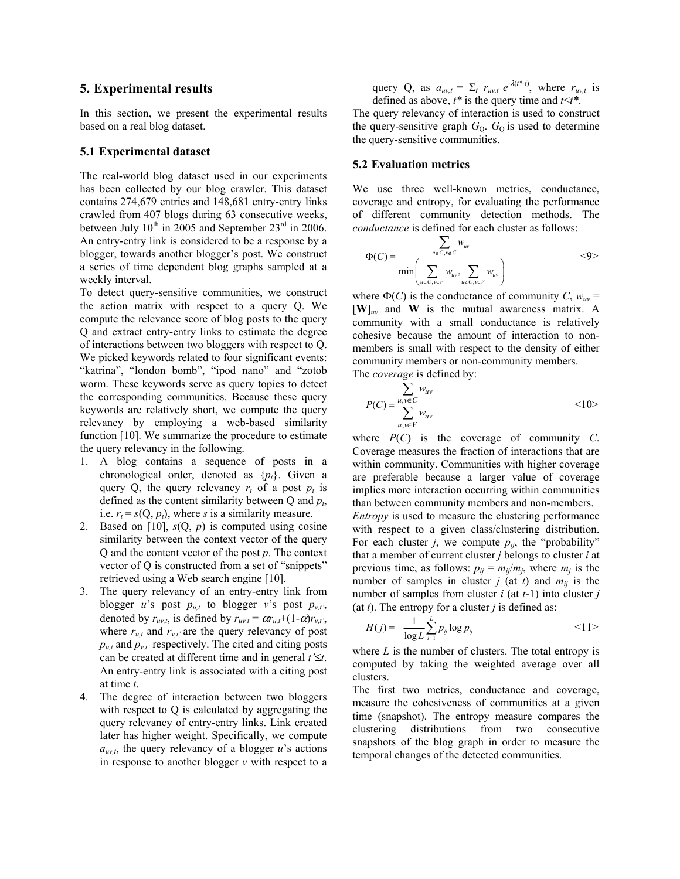# **5. Experimental results**

In this section, we present the experimental results based on a real blog dataset.

### **5.1 Experimental dataset**

The real-world blog dataset used in our experiments has been collected by our blog crawler. This dataset contains 274,679 entries and 148,681 entry-entry links crawled from 407 blogs during 63 consecutive weeks, between July  $10^{th}$  in 2005 and September  $23^{rd}$  in 2006. An entry-entry link is considered to be a response by a blogger, towards another blogger's post. We construct a series of time dependent blog graphs sampled at a weekly interval.

To detect query-sensitive communities, we construct the action matrix with respect to a query Q. We compute the relevance score of blog posts to the query Q and extract entry-entry links to estimate the degree of interactions between two bloggers with respect to Q. We picked keywords related to four significant events: "katrina", "london bomb", "ipod nano" and "zotob worm. These keywords serve as query topics to detect the corresponding communities. Because these query keywords are relatively short, we compute the query relevancy by employing a web-based similarity function [10]. We summarize the procedure to estimate the query relevancy in the following.

- 1. A blog contains a sequence of posts in a chronological order, denoted as  $\{p_t\}$ . Given a query Q, the query relevancy  $r_t$  of a post  $p_t$  is defined as the content similarity between Q and *pt*, i.e.  $r_t = s(Q, p_t)$ , where *s* is a similarity measure.
- 2. Based on [10], *s*(Q, *p*) is computed using cosine similarity between the context vector of the query Q and the content vector of the post *p*. The context vector of Q is constructed from a set of "snippets" retrieved using a Web search engine [10].
- 3. The query relevancy of an entry-entry link from blogger *u*'s post  $p_{u,t}$  to blogger *v*'s post  $p_{v,t}$ , denoted by  $r_{uv,t}$ , is defined by  $r_{uv,t} = \alpha r_{u,t} + (1-\alpha)r_{v,t}$ , where  $r_{u,t}$  and  $r_{v,t'}$  are the query relevancy of post  $p_{u,t}$  and  $p_{v,t'}$  respectively. The cited and citing posts can be created at different time and in general *t'*≤*t*. An entry-entry link is associated with a citing post at time *t*.
- 4. The degree of interaction between two bloggers with respect to Q is calculated by aggregating the query relevancy of entry-entry links. Link created later has higher weight. Specifically, we compute  $a_{uv,t}$ , the query relevancy of a blogger  $u$ 's actions in response to another blogger *v* with respect to a

query Q, as  $a_{uv,t} = \sum_t r_{uv,t} e^{-\lambda(t^* - t)}$ , where  $r_{uv,t}$  is defined as above,  $t^*$  is the query time and  $t < t^*$ .

The query relevancy of interaction is used to construct the query-sensitive graph  $G_Q$ .  $G_Q$  is used to determine the query-sensitive communities.

# **5.2 Evaluation metrics**

We use three well-known metrics, conductance, coverage and entropy, for evaluating the performance of different community detection methods. The *conductance* is defined for each cluster as follows:

$$
\Phi(C) = \frac{\sum_{u \in C, v \in C} w_{uv}}{\min \left( \sum_{u \in C, v \in V} w_{uv}, \sum_{u \in C, v \in V} w_{uv} \right)}
$$
  $\langle 9 \rangle$ 

where  $\Phi(C)$  is the conductance of community  $C$ ,  $w_{uv} =$  $[\mathbf{W}]_{uv}$  and **W** is the mutual awareness matrix. A community with a small conductance is relatively cohesive because the amount of interaction to nonmembers is small with respect to the density of either community members or non-community members.

The *coverage* is defined by:

$$
P(C) = \frac{\sum_{u,v \in C} w_{uv}}{\sum_{u,v \in V} w_{uv}} \qquad \qquad \leq 10>
$$

where  $P(C)$  is the coverage of community  $C$ . Coverage measures the fraction of interactions that are within community. Communities with higher coverage are preferable because a larger value of coverage implies more interaction occurring within communities than between community members and non-members.

*Entropy* is used to measure the clustering performance with respect to a given class/clustering distribution. For each cluster *j*, we compute  $p_{ij}$ , the "probability" that a member of current cluster *j* belongs to cluster *i* at previous time, as follows:  $p_{ij} = m_{ij}/m_j$ , where  $m_j$  is the number of samples in cluster *j* (at *t*) and  $m_{ij}$  is the number of samples from cluster *i* (at *t-*1) into cluster *j* (at *t*). The entropy for a cluster *j* is defined as:

$$
H(j) = -\frac{1}{\log L} \sum_{i=1}^{L} p_{ij} \log p_{ij} \qquad \qquad <11>
$$

where *L* is the number of clusters. The total entropy is computed by taking the weighted average over all clusters.

The first two metrics, conductance and coverage, measure the cohesiveness of communities at a given time (snapshot). The entropy measure compares the clustering distributions from two consecutive snapshots of the blog graph in order to measure the temporal changes of the detected communities.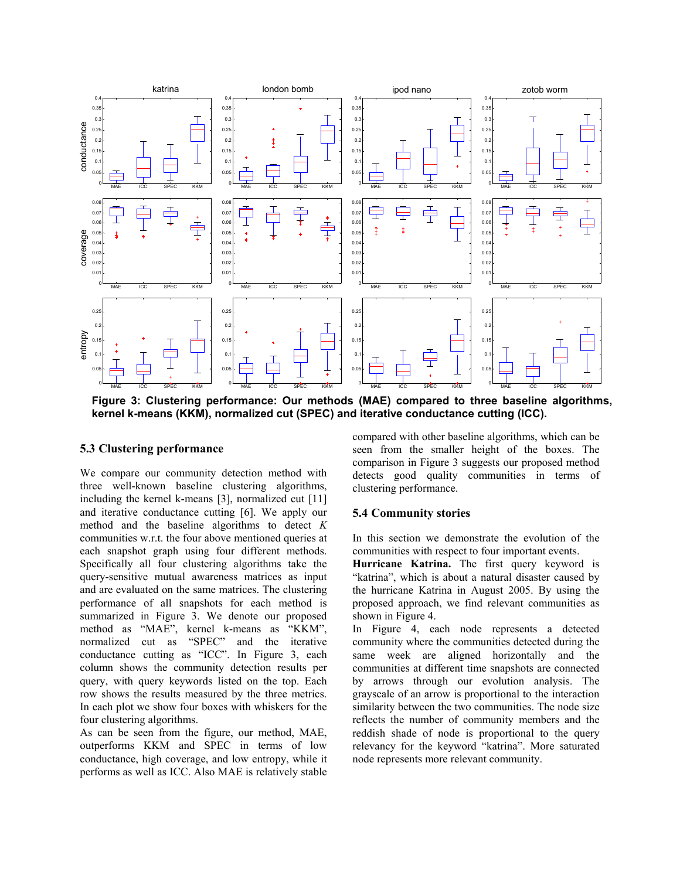

**Figure 3: Clustering performance: Our methods (MAE) compared to three baseline algorithms, kernel k-means (KKM), normalized cut (SPEC) and iterative conductance cutting (ICC).** 

# **5.3 Clustering performance**

We compare our community detection method with three well-known baseline clustering algorithms, including the kernel k-means [3], normalized cut [11] and iterative conductance cutting [6]. We apply our method and the baseline algorithms to detect *K* communities w.r.t. the four above mentioned queries at each snapshot graph using four different methods. Specifically all four clustering algorithms take the query-sensitive mutual awareness matrices as input and are evaluated on the same matrices. The clustering performance of all snapshots for each method is summarized in Figure 3. We denote our proposed method as "MAE", kernel k-means as "KKM", normalized cut as "SPEC" and the iterative conductance cutting as "ICC". In Figure 3, each column shows the community detection results per query, with query keywords listed on the top. Each row shows the results measured by the three metrics. In each plot we show four boxes with whiskers for the four clustering algorithms.

As can be seen from the figure, our method, MAE, outperforms KKM and SPEC in terms of low conductance, high coverage, and low entropy, while it performs as well as ICC. Also MAE is relatively stable compared with other baseline algorithms, which can be seen from the smaller height of the boxes. The comparison in Figure 3 suggests our proposed method detects good quality communities in terms of clustering performance.

# **5.4 Community stories**

In this section we demonstrate the evolution of the communities with respect to four important events.

**Hurricane Katrina.** The first query keyword is "katrina", which is about a natural disaster caused by the hurricane Katrina in August 2005. By using the proposed approach, we find relevant communities as shown in Figure 4.

In Figure 4, each node represents a detected community where the communities detected during the same week are aligned horizontally and the communities at different time snapshots are connected by arrows through our evolution analysis. The grayscale of an arrow is proportional to the interaction similarity between the two communities. The node size reflects the number of community members and the reddish shade of node is proportional to the query relevancy for the keyword "katrina". More saturated node represents more relevant community.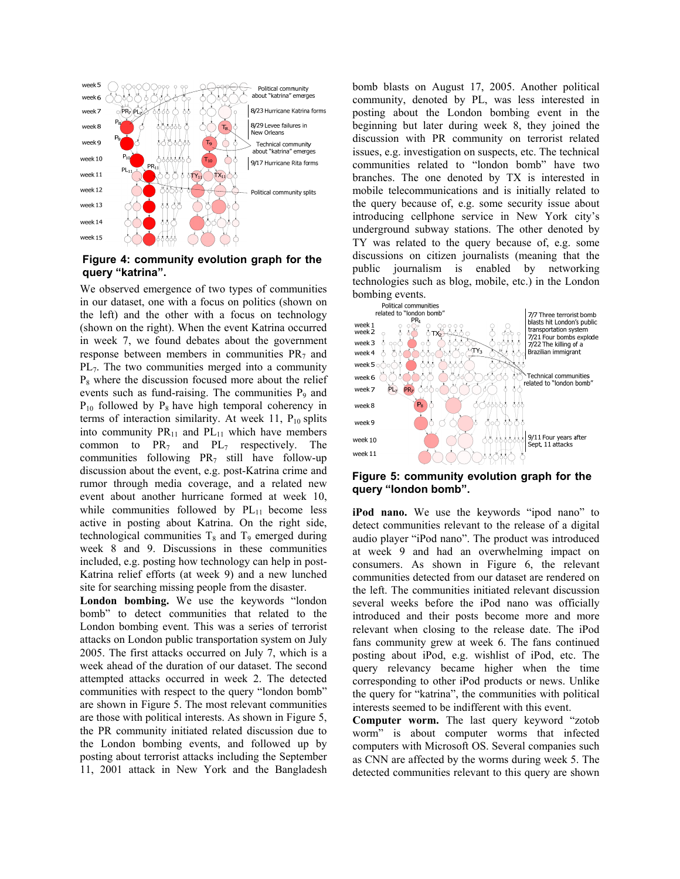

**Figure 4: community evolution graph for the query "katrina".** 

We observed emergence of two types of communities in our dataset, one with a focus on politics (shown on the left) and the other with a focus on technology (shown on the right). When the event Katrina occurred in week 7, we found debates about the government response between members in communities  $PR<sub>7</sub>$  and  $PL_7$ . The two communities merged into a community  $P_8$  where the discussion focused more about the relief events such as fund-raising. The communities  $P_9$  and  $P_{10}$  followed by  $P_8$  have high temporal coherency in terms of interaction similarity. At week  $11$ ,  $P_{10}$  splits into community  $PR_{11}$  and  $PL_{11}$  which have members common to  $PR_7$  and  $PL_7$  respectively. The communities following  $PR_7$  still have follow-up discussion about the event, e.g. post-Katrina crime and rumor through media coverage, and a related new event about another hurricane formed at week 10, while communities followed by  $PL_{11}$  become less active in posting about Katrina. On the right side, technological communities  $T_8$  and  $T_9$  emerged during week 8 and 9. Discussions in these communities included, e.g. posting how technology can help in post-Katrina relief efforts (at week 9) and a new lunched site for searching missing people from the disaster.

London bombing. We use the keywords "london" bomb" to detect communities that related to the London bombing event. This was a series of terrorist attacks on London public transportation system on July 2005. The first attacks occurred on July 7, which is a week ahead of the duration of our dataset. The second attempted attacks occurred in week 2. The detected communities with respect to the query "london bomb" are shown in Figure 5. The most relevant communities are those with political interests. As shown in Figure 5, the PR community initiated related discussion due to the London bombing events, and followed up by posting about terrorist attacks including the September 11, 2001 attack in New York and the Bangladesh bomb blasts on August 17, 2005. Another political community, denoted by PL, was less interested in posting about the London bombing event in the beginning but later during week 8, they joined the discussion with PR community on terrorist related issues, e.g. investigation on suspects, etc. The technical communities related to "london bomb" have two branches. The one denoted by TX is interested in mobile telecommunications and is initially related to the query because of, e.g. some security issue about introducing cellphone service in New York city's underground subway stations. The other denoted by TY was related to the query because of, e.g. some discussions on citizen journalists (meaning that the public journalism is enabled by networking technologies such as blog, mobile, etc.) in the London bombing events.<br>Political communities



**Figure 5: community evolution graph for the query "london bomb".** 

**iPod nano.** We use the keywords "ipod nano" to detect communities relevant to the release of a digital audio player "iPod nano". The product was introduced at week 9 and had an overwhelming impact on consumers. As shown in Figure 6, the relevant communities detected from our dataset are rendered on the left. The communities initiated relevant discussion several weeks before the iPod nano was officially introduced and their posts become more and more relevant when closing to the release date. The iPod fans community grew at week 6. The fans continued posting about iPod, e.g. wishlist of iPod, etc. The query relevancy became higher when the time corresponding to other iPod products or news. Unlike the query for "katrina", the communities with political interests seemed to be indifferent with this event.

**Computer worm.** The last query keyword "zotob worm" is about computer worms that infected computers with Microsoft OS. Several companies such as CNN are affected by the worms during week 5. The detected communities relevant to this query are shown